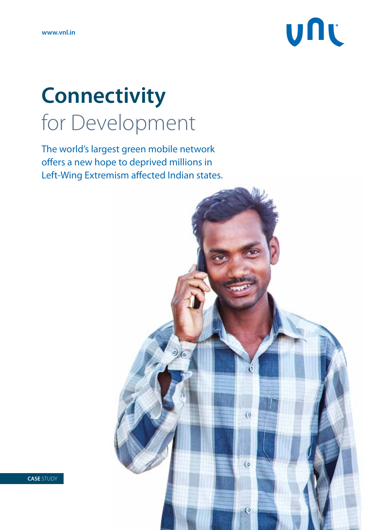

## **Connectivity** for Development

The world's largest green mobile network offers a new hope to deprived millions in Left-Wing Extremism affected Indian states.

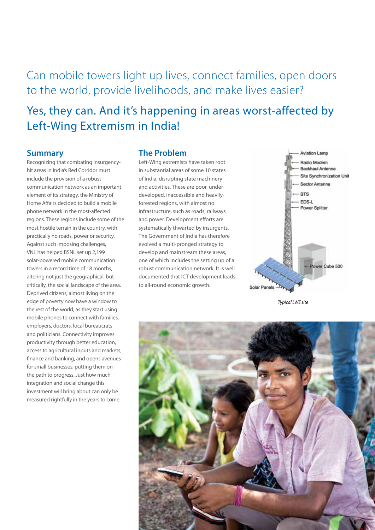Can mobile towers light up lives, connect families, open doors to the world, provide livelihoods, and make lives easier?

### Yes, they can. And it's happening in areas worst-affected by Left-Wing Extremism in India!

#### **Summary**

Recognizing that combating insurgencyhit areas in India's Red Corridor must include the provision of a robust communication network as an important element of its strategy, the Ministry of Home Affairs decided to build a mobile phone network in the most-affected regions. These regions include some of the most hostile terrain in the country, with practically no roads, power or security. Against such imposing challenges, VNL has helped BSNL set up 2,199 solar-powered mobile communication towers in a record time of 18 months, altering not just the geographical, but critically, the social landscape of the area. Deprived citizens, almost living on the edge of poverty now have a window to the rest of the world, as they start using mobile phones to connect with families, employers, doctors, local bureaucrats and politicians. Connectivity improves productivity through better education, access to agricultural inputs and markets, finance and banking, and opens avenues for small businesses, putting them on the path to progress. Just how much integration and social change this investment will bring about can only be measured rightfully in the years to come.

### **The Problem**

Left-Wing extremists have taken root in substantial areas of some 10 states of India, disrupting state machinery and activities. These are poor, underdeveloped, inaccessible and heavilyforested regions, with almost no infrastructure, such as roads, railways and power. Development efforts are systematically thwarted by insurgents. The Government of India has therefore evolved a multi-pronged strategy to develop and mainstream these areas, one of which includes the setting up of a robust communication network. It is well documented that ICT development leads to all-round economic growth.



*Typical LWE site*

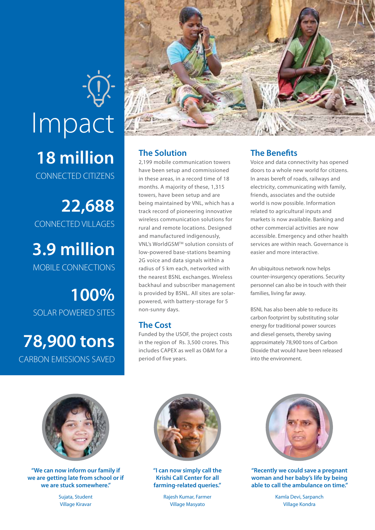# **18 million** CONNECTED CITIZENS Impact

**22,688** CONNECTED VILLAGES

**3.9 million** MOBILE CONNECTIONS

**100%** SOLAR POWERED SITES

**78,900 tons** CARBON EMISSIONS SAVED



### **The Solution**

2,199 mobile communication towers have been setup and commissioned in these areas, in a record time of 18 months. A majority of these, 1,315 towers, have been setup and are being maintained by VNL, which has a track record of pioneering innovative wireless communication solutions for rural and remote locations. Designed and manufactured indigenously, VNL's WorldGSMTM solution consists of low-powered base-stations beaming 2G voice and data signals within a radius of 5 km each, networked with the nearest BSNL exchanges. Wireless backhaul and subscriber management is provided by BSNL. All sites are solarpowered, with battery-storage for 5 non-sunny days.

### **The Cost**

Funded by the USOF, the project costs in the region of Rs. 3,500 crores. This includes CAPEX as well as O&M for a period of five years.

### **The Benefits**

Voice and data connectivity has opened doors to a whole new world for citizens. In areas bereft of roads, railways and electricity, communicating with family, friends, associates and the outside world is now possible. Information related to agricultural inputs and markets is now available. Banking and other commercial activities are now accessible. Emergency and other health services are within reach. Governance is easier and more interactive.

An ubiquitous network now helps counter-insurgency operations. Security personnel can also be in touch with their families, living far away.

BSNL has also been able to reduce its carbon footprint by substituting solar energy for traditional power sources and diesel gensets, thereby saving approximately 78,900 tons of Carbon Dioxide that would have been released into the environment.



**"We can now inform our family if we are getting late from school or if we are stuck somewhere."**

Sujata, Student Village Kiravar



**"I can now simply call the Krishi Call Center for all farming-related queries."**

Rajesh Kumar, Farmer Village Masyato



**"Recently we could save a pregnant woman and her baby's life by being able to call the ambulance on time."**

Kamla Devi, Sarpanch Village Kondra